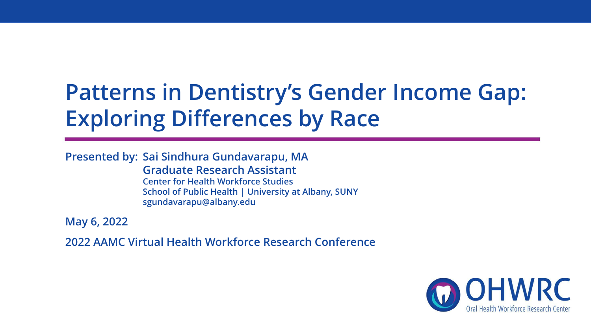#### **Patterns in Dentistry's Gender Income Gap: Exploring Differences by Race**

**Presented by: Sai Sindhura Gundavarapu, MA**

**Graduate Research Assistant Center for Health Workforce Studies School of Public Health** | **University at Albany, SUNY sgundavarapu@albany.edu**

**May 6, 2022**

**2022 AAMC Virtual Health Workforce Research Conference**

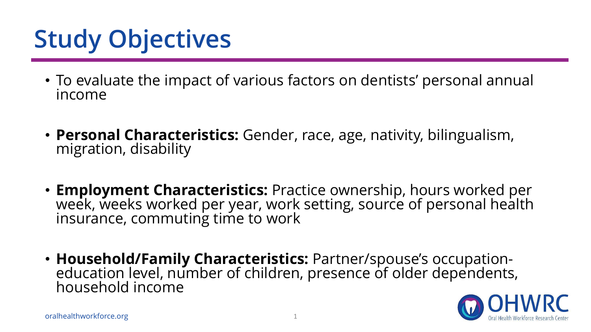# **Study Objectives**

- To evaluate the impact of various factors on dentists' personal annual income
- **Personal Characteristics:** Gender, race, age, nativity, bilingualism, migration, disability
- **Employment Characteristics:** Practice ownership, hours worked per week, weeks worked per year, work setting, source of personal health insurance, commuting time to work
- **Household/Family Characteristics:** Partner/spouse's occupationeducation level, number of children, presence of older dependents, household income

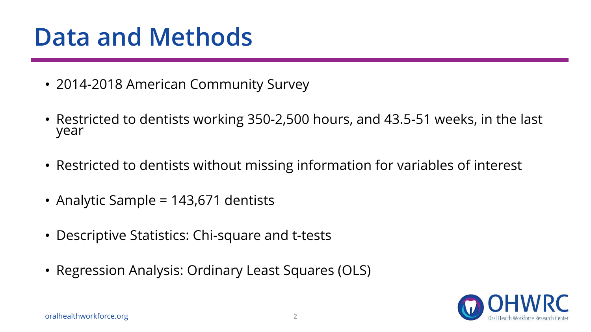### **Data and Methods**

- 2014-2018 American Community Survey
- Restricted to dentists working 350-2,500 hours, and 43.5-51 weeks, in the last year
- Restricted to dentists without missing information for variables of interest
- Analytic Sample = 143,671 dentists
- Descriptive Statistics: Chi-square and t-tests
- Regression Analysis: Ordinary Least Squares (OLS)

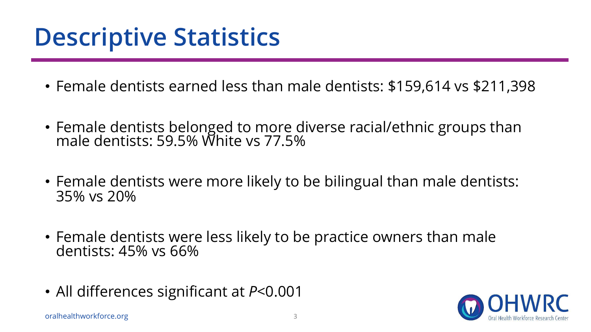## **Descriptive Statistics**

- Female dentists earned less than male dentists: \$159,614 vs \$211,398
- Female dentists belonged to more diverse racial/ethnic groups than male dentists: 59.5% White vs 77.5%
- Female dentists were more likely to be bilingual than male dentists: 35% vs 20%
- Female dentists were less likely to be practice owners than male dentists: 45% vs 66%
- All differences significant at *P*<0.001

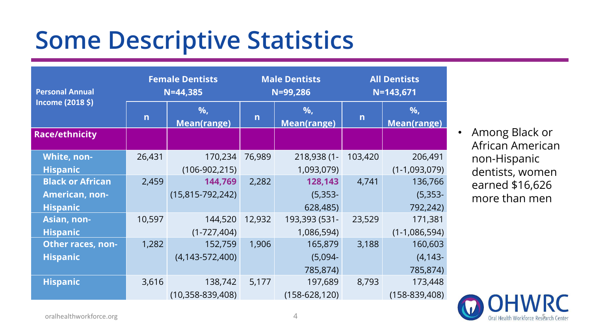### **Some Descriptive Statistics**

| <b>Personal Annual</b>   | <b>Female Dentists</b><br>$N = 44,385$ |                          | <b>Male Dentists</b><br>N=99,286 |                         | <b>All Dentists</b><br>$N = 143,671$ |                         |
|--------------------------|----------------------------------------|--------------------------|----------------------------------|-------------------------|--------------------------------------|-------------------------|
| Income (2018 \$)         | $\mathsf{n}$                           | %,<br><b>Mean(range)</b> | $\mathsf{n}$                     | %<br><b>Mean(range)</b> | $\overline{n}$                       | %<br><b>Mean(range)</b> |
| <b>Race/ethnicity</b>    |                                        |                          |                                  |                         |                                      |                         |
| White, non-              | 26,431                                 | 170,234                  | 76,989                           | 218,938 (1-             | 103,420                              | 206,491                 |
| <b>Hispanic</b>          |                                        | $(106-902,215)$          |                                  | 1,093,079)              |                                      | $(1-1,093,079)$         |
| <b>Black or African</b>  | 2,459                                  | 144,769                  | 2,282                            | 128,143                 | 4,741                                | 136,766                 |
| <b>American, non-</b>    |                                        | $(15, 815 - 792, 242)$   |                                  | $(5, 353 -$             |                                      | $(5, 353 -$             |
| <b>Hispanic</b>          |                                        |                          |                                  | 628,485)                |                                      | 792,242)                |
| <b>Asian, non-</b>       | 10,597                                 | 144,520                  | 12,932                           | 193,393 (531-           | 23,529                               | 171,381                 |
| <b>Hispanic</b>          |                                        | $(1-727,404)$            |                                  | 1,086,594)              |                                      | $(1-1,086,594)$         |
| <b>Other races, non-</b> | 1,282                                  | 152,759                  | 1,906                            | 165,879                 | 3,188                                | 160,603                 |
| <b>Hispanic</b>          |                                        | $(4, 143 - 572, 400)$    |                                  | $(5,094 -$              |                                      | $(4, 143 -$             |
|                          |                                        |                          |                                  | 785,874)                |                                      | 785,874)                |
| <b>Hispanic</b>          | 3,616                                  | 138,742                  | 5,177                            | 197,689                 | 8,793                                | 173,448                 |
|                          |                                        | $(10,358-839,408)$       |                                  | $(158-628, 120)$        |                                      | $(158 - 839, 408)$      |

• Among Black or African American non-Hispanic dentists, women earned \$16,626 more than men

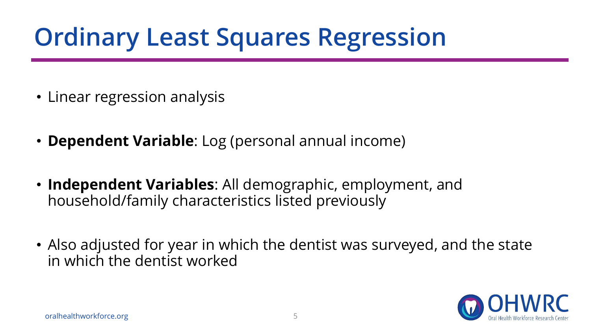# **Ordinary Least Squares Regression**

- Linear regression analysis
- **Dependent Variable**: Log (personal annual income)
- **Independent Variables**: All demographic, employment, and household/family characteristics listed previously
- Also adjusted for year in which the dentist was surveyed, and the state in which the dentist worked

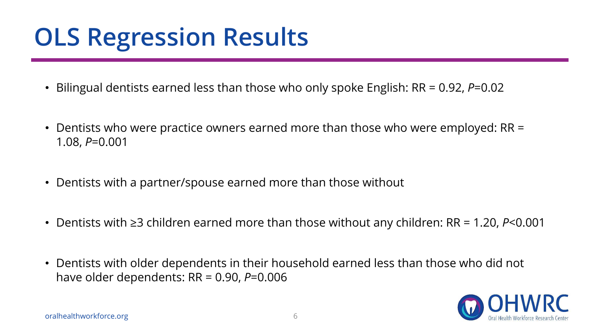## **OLS Regression Results**

- Bilingual dentists earned less than those who only spoke English: RR = 0.92, *P*=0.02
- Dentists who were practice owners earned more than those who were employed: RR = 1.08, *P*=0.001
- Dentists with a partner/spouse earned more than those without
- Dentists with ≥3 children earned more than those without any children: RR = 1.20, *P*<0.001
- Dentists with older dependents in their household earned less than those who did not have older dependents: RR = 0.90, *P*=0.006

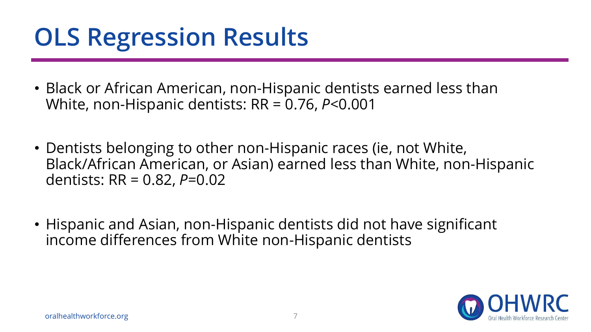## **OLS Regression Results**

- Black or African American, non-Hispanic dentists earned less than White, non-Hispanic dentists: RR = 0.76, *P*<0.001
- Dentists belonging to other non-Hispanic races (ie, not White, Black/African American, or Asian) earned less than White, non-Hispanic dentists: RR = 0.82, *P*=0.02
- Hispanic and Asian, non-Hispanic dentists did not have significant income differences from White non-Hispanic dentists

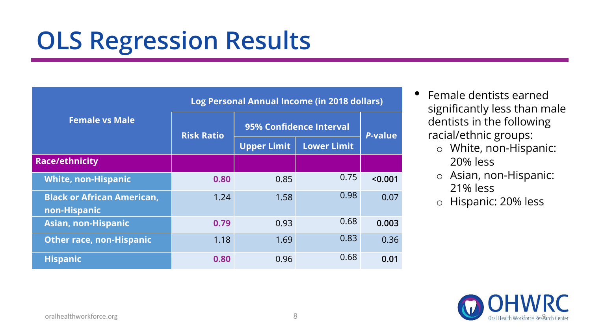### **OLS Regression Results**

|                                                   | Log Personal Annual Income (in 2018 dollars) |                         |                    |         |  |  |
|---------------------------------------------------|----------------------------------------------|-------------------------|--------------------|---------|--|--|
| <b>Female vs Male</b>                             | <b>Risk Ratio</b>                            | 95% Confidence Interval | <b>P-value</b>     |         |  |  |
|                                                   |                                              | <b>Upper Limit</b>      | <b>Lower Limit</b> |         |  |  |
| <b>Race/ethnicity</b>                             |                                              |                         |                    |         |  |  |
| <b>White, non-Hispanic</b>                        | 0.80                                         | 0.85                    | 0.75               | < 0.001 |  |  |
| <b>Black or African American,</b><br>non-Hispanic | 1.24                                         | 1.58                    | 0.98               | 0.07    |  |  |
| <b>Asian, non-Hispanic</b>                        | 0.79                                         | 0.93                    | 0.68               | 0.003   |  |  |
| <b>Other race, non-Hispanic</b>                   | 1.18                                         | 1.69                    | 0.83               | 0.36    |  |  |
| <b>Hispanic</b>                                   | 0.80                                         | 0.96                    | 0.68               | 0.01    |  |  |

- Female dentists earned significantly less than male dentists in the following racial/ethnic groups:
	- o White, non-Hispanic: 20% less
	- o Asian, non-Hispanic: 21% less
	- o Hispanic: 20% less

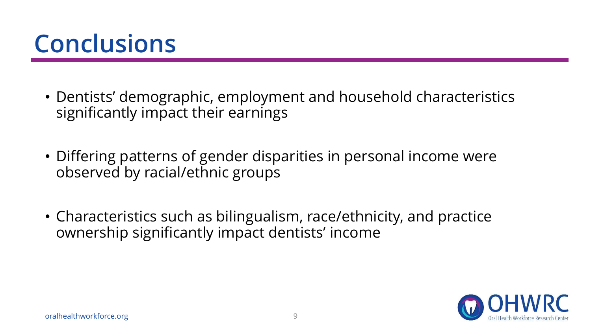### **Conclusions**

- Dentists' demographic, employment and household characteristics significantly impact their earnings
- Differing patterns of gender disparities in personal income were observed by racial/ethnic groups
- Characteristics such as bilingualism, race/ethnicity, and practice ownership significantly impact dentists' income

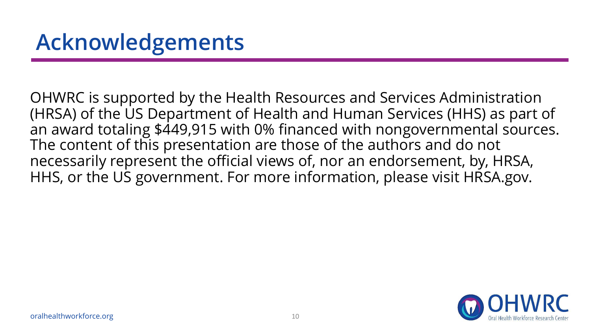OHWRC is supported by the Health Resources and Services Administration (HRSA) of the US Department of Health and Human Services (HHS) as part of an award totaling \$449,915 with 0% financed with nongovernmental sources. The content of this presentation are those of the authors and do not necessarily represent the official views of, nor an endorsement, by, HRSA, HHS, or the US government. For more information, please visit HRSA.gov.